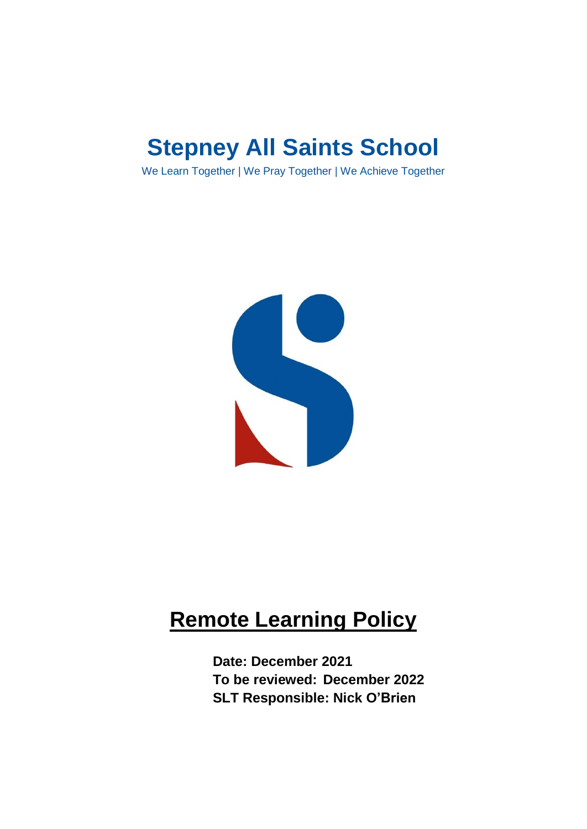# **Stepney All Saints School**

We Learn Together | We Pray Together | We Achieve Together



## **Remote Learning Policy**

**Date: December 2021 To be reviewed: December 2022 SLT Responsible: Nick O'Brien**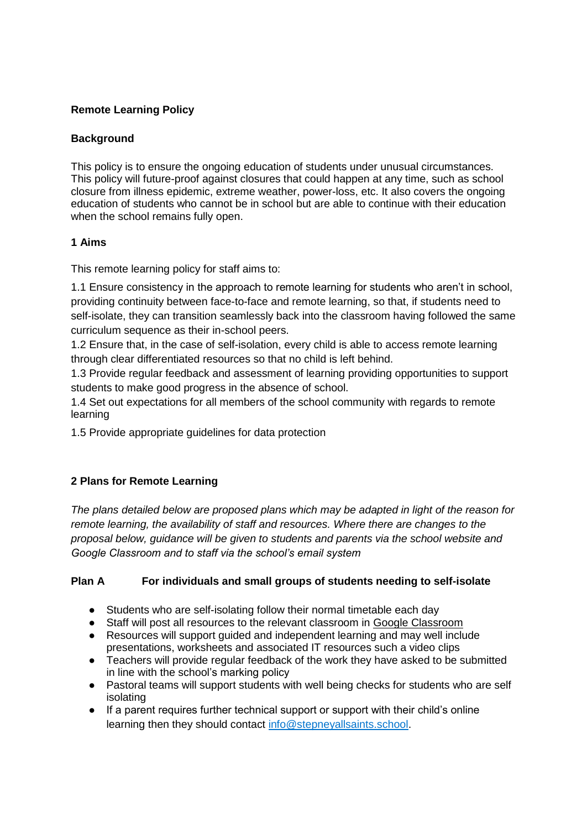## **Remote Learning Policy**

## **Background**

This policy is to ensure the ongoing education of students under unusual circumstances. This policy will future-proof against closures that could happen at any time, such as school closure from illness epidemic, extreme weather, power-loss, etc. It also covers the ongoing education of students who cannot be in school but are able to continue with their education when the school remains fully open.

## **1 Aims**

This remote learning policy for staff aims to:

1.1 Ensure consistency in the approach to remote learning for students who aren't in school, providing continuity between face-to-face and remote learning, so that, if students need to self-isolate, they can transition seamlessly back into the classroom having followed the same curriculum sequence as their in-school peers.

1.2 Ensure that, in the case of self-isolation, every child is able to access remote learning through clear differentiated resources so that no child is left behind.

1.3 Provide regular feedback and assessment of learning providing opportunities to support students to make good progress in the absence of school.

1.4 Set out expectations for all members of the school community with regards to remote learning

1.5 Provide appropriate guidelines for data protection

## **2 Plans for Remote Learning**

*The plans detailed below are proposed plans which may be adapted in light of the reason for remote learning, the availability of staff and resources. Where there are changes to the proposal below, guidance will be given to students and parents via the school website and Google Classroom and to staff via the school's email system*

## **Plan A For individuals and small groups of students needing to self-isolate**

- Students who are self-isolating follow their normal timetable each day
- Staff will post all resources to the relevant classroom in [Google Classroom](https://docs.google.com/presentation/d/1pJSJ1HJ-sCms29YegQCiwc7SWPXqD5FcAjms1PzV8OY/edit?usp=sharing)
- Resources will support guided and independent learning and may well include presentations, worksheets and associated IT resources such a video clips
- Teachers will provide regular feedback of the work they have asked to be submitted in line with the school's marking policy
- Pastoral teams will support students with well being checks for students who are self isolating
- If a parent requires further technical support or support with their child's online learning then they should contact [info@stepneyallsaints.school.](mailto:info@stepneyallsaints.school)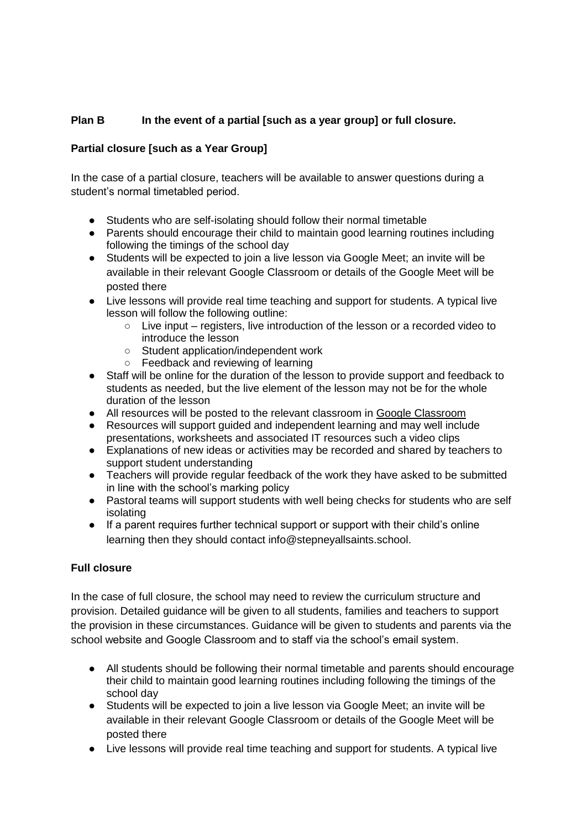## **Plan B In the event of a partial [such as a year group] or full closure.**

## **Partial closure [such as a Year Group]**

In the case of a partial closure, teachers will be available to answer questions during a student's normal timetabled period.

- Students who are self-isolating should follow their normal timetable
- Parents should encourage their child to maintain good learning routines including following the timings of the school day
- Students will be expected to join a live lesson via Google Meet; an invite will be available in their relevant Google Classroom or details of the Google Meet will be posted there
- Live lessons will provide real time teaching and support for students. A typical live lesson will follow the following outline:
	- $\circ$  Live input registers, live introduction of the lesson or a recorded video to introduce the lesson
	- Student application/independent work
	- Feedback and reviewing of learning
- Staff will be online for the duration of the lesson to provide support and feedback to students as needed, but the live element of the lesson may not be for the whole duration of the lesson
- All resources will be posted to the relevant classroom in [Google Classroom](https://docs.google.com/presentation/d/1pJSJ1HJ-sCms29YegQCiwc7SWPXqD5FcAjms1PzV8OY/edit?usp=sharing)<br>● Resources will support quided and independent learning and may well inclu
- Resources will support guided and independent learning and may well include presentations, worksheets and associated IT resources such a video clips
- Explanations of new ideas or activities may be recorded and shared by teachers to support student understanding
- Teachers will provide regular feedback of the work they have asked to be submitted in line with the school's marking policy
- Pastoral teams will support students with well being checks for students who are self isolating
- If a parent requires further technical support or support with their child's online learning then they should contact info@stepneyallsaints.school.

#### **Full closure**

In the case of full closure, the school may need to review the curriculum structure and provision. Detailed guidance will be given to all students, families and teachers to support the provision in these circumstances. Guidance will be given to students and parents via the school website and Google Classroom and to staff via the school's email system.

- All students should be following their normal timetable and parents should encourage their child to maintain good learning routines including following the timings of the school day
- Students will be expected to join a live lesson via Google Meet; an invite will be available in their relevant Google Classroom or details of the Google Meet will be posted there
- Live lessons will provide real time teaching and support for students. A typical live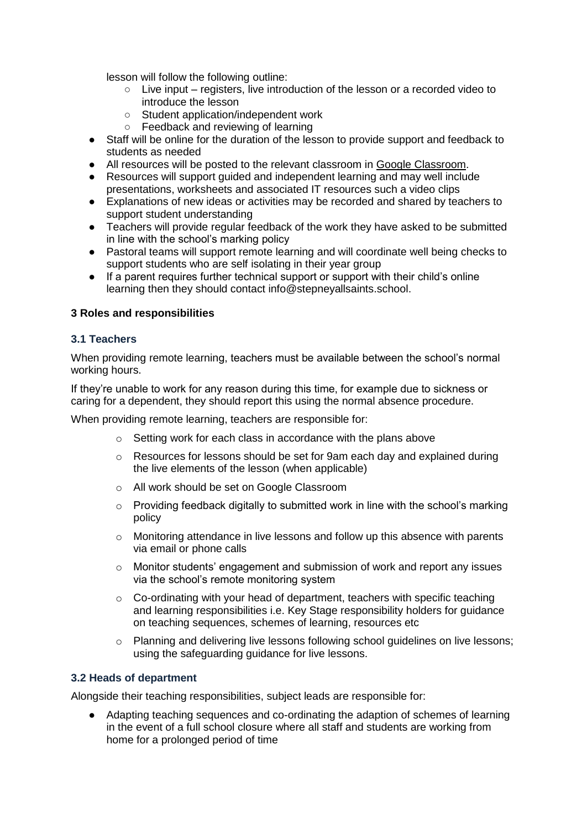lesson will follow the following outline:

- Live input registers, live introduction of the lesson or a recorded video to introduce the lesson
- Student application/independent work
- Feedback and reviewing of learning
- Staff will be online for the duration of the lesson to provide support and feedback to students as needed
- All resources will be posted to the relevant classroom in [Google Classroom.](https://docs.google.com/presentation/d/1pJSJ1HJ-sCms29YegQCiwc7SWPXqD5FcAjms1PzV8OY/edit?usp=sharing)
- Resources will support guided and independent learning and may well include presentations, worksheets and associated IT resources such a video clips
- Explanations of new ideas or activities may be recorded and shared by teachers to support student understanding
- Teachers will provide regular feedback of the work they have asked to be submitted in line with the school's marking policy
- Pastoral teams will support remote learning and will coordinate well being checks to support students who are self isolating in their year group
- If a parent requires further technical support or support with their child's online learning then they should contact info@stepneyallsaints.school.

#### **3 Roles and responsibilities**

#### **3.1 Teachers**

When providing remote learning, teachers must be available between the school's normal working hours.

If they're unable to work for any reason during this time, for example due to sickness or caring for a dependent, they should report this using the normal absence procedure.

When providing remote learning, teachers are responsible for:

- o Setting work for each class in accordance with the plans above
- $\circ$  Resources for lessons should be set for 9am each day and explained during the live elements of the lesson (when applicable)
- o All work should be set on Google Classroom
- $\circ$  Providing feedback digitally to submitted work in line with the school's marking policy
- $\circ$  Monitoring attendance in live lessons and follow up this absence with parents via email or phone calls
- $\circ$  Monitor students' engagement and submission of work and report any issues via the school's remote monitoring system
- o Co-ordinating with your head of department, teachers with specific teaching and learning responsibilities i.e. Key Stage responsibility holders for guidance on teaching sequences, schemes of learning, resources etc
- o Planning and delivering live lessons following school guidelines on live lessons; using the safeguarding guidance for live lessons.

#### **3.2 Heads of department**

Alongside their teaching responsibilities, subject leads are responsible for:

● Adapting teaching sequences and co-ordinating the adaption of schemes of learning in the event of a full school closure where all staff and students are working from home for a prolonged period of time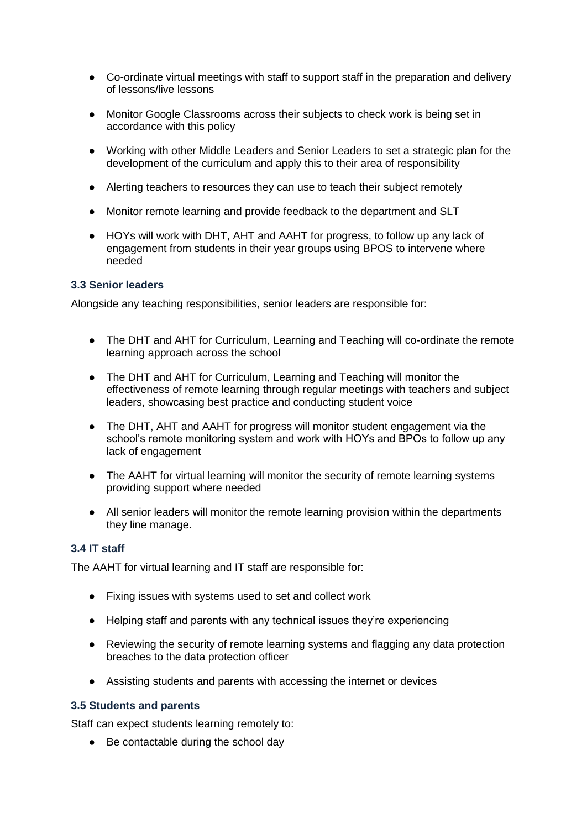- Co-ordinate virtual meetings with staff to support staff in the preparation and delivery of lessons/live lessons
- Monitor Google Classrooms across their subjects to check work is being set in accordance with this policy
- Working with other Middle Leaders and Senior Leaders to set a strategic plan for the development of the curriculum and apply this to their area of responsibility
- Alerting teachers to resources they can use to teach their subject remotely
- Monitor remote learning and provide feedback to the department and SLT
- HOYs will work with DHT, AHT and AAHT for progress, to follow up any lack of engagement from students in their year groups using BPOS to intervene where needed

#### **3.3 Senior leaders**

Alongside any teaching responsibilities, senior leaders are responsible for:

- The DHT and AHT for Curriculum, Learning and Teaching will co-ordinate the remote learning approach across the school
- The DHT and AHT for Curriculum, Learning and Teaching will monitor the effectiveness of remote learning through regular meetings with teachers and subject leaders, showcasing best practice and conducting student voice
- The DHT, AHT and AAHT for progress will monitor student engagement via the school's remote monitoring system and work with HOYs and BPOs to follow up any lack of engagement
- The AAHT for virtual learning will monitor the security of remote learning systems providing support where needed
- All senior leaders will monitor the remote learning provision within the departments they line manage.

#### **3.4 IT staff**

The AAHT for virtual learning and IT staff are responsible for:

- Fixing issues with systems used to set and collect work
- Helping staff and parents with any technical issues they're experiencing
- Reviewing the security of remote learning systems and flagging any data protection breaches to the data protection officer
- Assisting students and parents with accessing the internet or devices

#### **3.5 Students and parents**

Staff can expect students learning remotely to:

● Be contactable during the school day